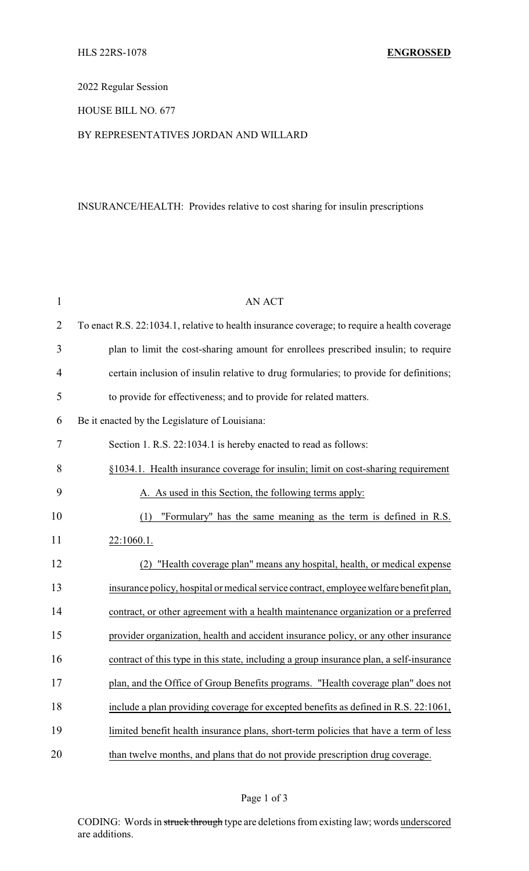## 2022 Regular Session

### HOUSE BILL NO. 677

### BY REPRESENTATIVES JORDAN AND WILLARD

# INSURANCE/HEALTH: Provides relative to cost sharing for insulin prescriptions

| $\mathbf{1}$   | <b>AN ACT</b>                                                                                |
|----------------|----------------------------------------------------------------------------------------------|
| $\overline{2}$ | To enact R.S. 22:1034.1, relative to health insurance coverage; to require a health coverage |
| 3              | plan to limit the cost-sharing amount for enrollees prescribed insulin; to require           |
| $\overline{4}$ | certain inclusion of insulin relative to drug formularies; to provide for definitions;       |
| 5              | to provide for effectiveness; and to provide for related matters.                            |
| 6              | Be it enacted by the Legislature of Louisiana:                                               |
| 7              | Section 1. R.S. 22:1034.1 is hereby enacted to read as follows:                              |
| 8              | §1034.1. Health insurance coverage for insulin; limit on cost-sharing requirement            |
| 9              | A. As used in this Section, the following terms apply:                                       |
| 10             | "Formulary" has the same meaning as the term is defined in R.S.<br>(1)                       |
| 11             | 22:1060.1.                                                                                   |
| 12             | "Health coverage plan" means any hospital, health, or medical expense<br>(2)                 |
| 13             | insurance policy, hospital or medical service contract, employee welfare benefit plan,       |
| 14             | contract, or other agreement with a health maintenance organization or a preferred           |
| 15             | provider organization, health and accident insurance policy, or any other insurance          |
| 16             | contract of this type in this state, including a group insurance plan, a self-insurance      |
| 17             | plan, and the Office of Group Benefits programs. "Health coverage plan" does not             |
| 18             | include a plan providing coverage for excepted benefits as defined in R.S. 22:1061,          |
| 19             | limited benefit health insurance plans, short-term policies that have a term of less         |
| 20             | than twelve months, and plans that do not provide prescription drug coverage.                |

CODING: Words in struck through type are deletions from existing law; words underscored are additions.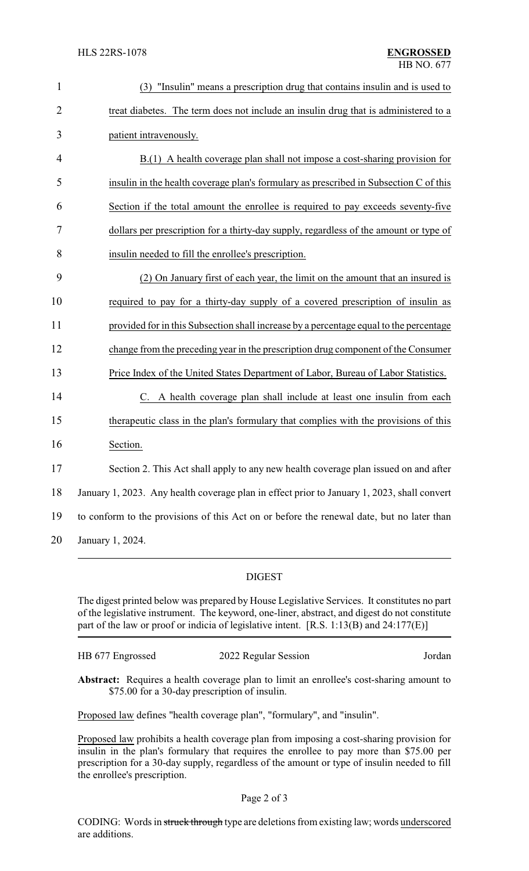| $\mathbf{1}$   | "Insulin" means a prescription drug that contains insulin and is used to<br>(3)             |  |  |
|----------------|---------------------------------------------------------------------------------------------|--|--|
| $\overline{2}$ | treat diabetes. The term does not include an insulin drug that is administered to a         |  |  |
| 3              | patient intravenously.                                                                      |  |  |
| 4              | B.(1) A health coverage plan shall not impose a cost-sharing provision for                  |  |  |
| 5              | insulin in the health coverage plan's formulary as prescribed in Subsection C of this       |  |  |
| 6              | Section if the total amount the enrollee is required to pay exceeds seventy-five            |  |  |
| 7              | dollars per prescription for a thirty-day supply, regardless of the amount or type of       |  |  |
| 8              | insulin needed to fill the enrollee's prescription.                                         |  |  |
| 9              | (2) On January first of each year, the limit on the amount that an insured is               |  |  |
| 10             | required to pay for a thirty-day supply of a covered prescription of insulin as             |  |  |
| 11             | provided for in this Subsection shall increase by a percentage equal to the percentage      |  |  |
| 12             | change from the preceding year in the prescription drug component of the Consumer           |  |  |
| 13             | Price Index of the United States Department of Labor, Bureau of Labor Statistics.           |  |  |
| 14             | C. A health coverage plan shall include at least one insulin from each                      |  |  |
| 15             | therapeutic class in the plan's formulary that complies with the provisions of this         |  |  |
| 16             | Section.                                                                                    |  |  |
| 17             | Section 2. This Act shall apply to any new health coverage plan issued on and after         |  |  |
| 18             | January 1, 2023. Any health coverage plan in effect prior to January 1, 2023, shall convert |  |  |
| 19             | to conform to the provisions of this Act on or before the renewal date, but no later than   |  |  |
| 20             | January 1, 2024.                                                                            |  |  |

#### DIGEST

The digest printed below was prepared by House Legislative Services. It constitutes no part of the legislative instrument. The keyword, one-liner, abstract, and digest do not constitute part of the law or proof or indicia of legislative intent. [R.S. 1:13(B) and 24:177(E)]

| HB 677 Engrossed | 2022 Regular Session | Jordan |
|------------------|----------------------|--------|
|                  |                      |        |

**Abstract:** Requires a health coverage plan to limit an enrollee's cost-sharing amount to \$75.00 for a 30-day prescription of insulin.

Proposed law defines "health coverage plan", "formulary", and "insulin".

Proposed law prohibits a health coverage plan from imposing a cost-sharing provision for insulin in the plan's formulary that requires the enrollee to pay more than \$75.00 per prescription for a 30-day supply, regardless of the amount or type of insulin needed to fill the enrollee's prescription.

CODING: Words in struck through type are deletions from existing law; words underscored are additions.